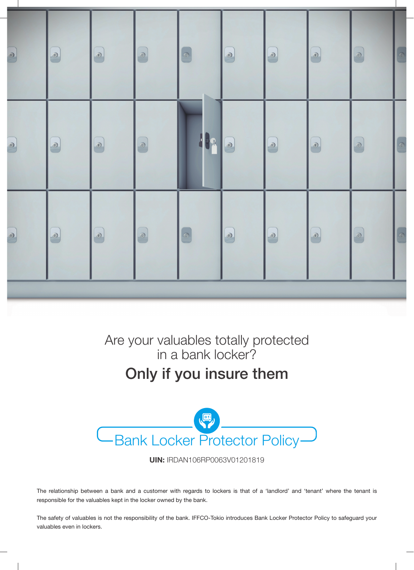

Are your valuables totally protected in a bank locker?

# Only if you insure them



**UIN: IRDAN106RP0063V01201819** 

The relationship between a bank and a customer with regards to lockers is that of a 'landlord' and 'tenant' where the tenant is responsible for the valuables kept in the locker owned by the bank.

The safety of valuables is not the responsibility of the bank. IFFCO-Tokio introduces Bank Locker Protector Policy to safeguard your valuables even in lockers.